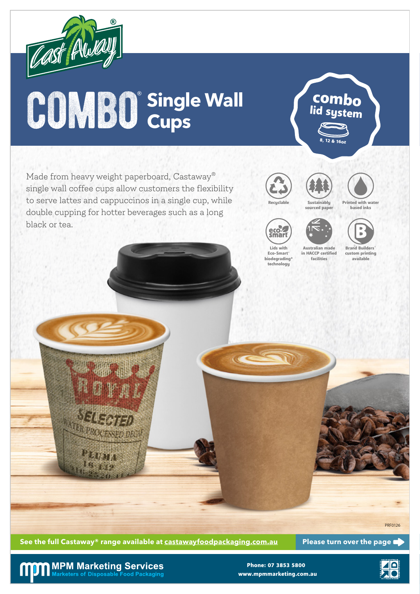

## $\bigcirc$  OMBO<sup>®</sup> Single Wall

Made from heavy weight paperboard, Castaway® single wall coffee cups allow customers the flexibility to serve lattes and cappuccinos in a single cup, while double cupping for hotter beverages such as a long black or tea.





8, 12 & 16oz

combo lid system



Printed with water based inks





Brand Builders® custom printing available

Lids with Eco-Smart® biodegrading\* technology

Australian made in HACCP certified facilities



See the full Castaway® range available at castawayfoodpackaging.com.au Please turn over the page

**MPM Marketing Services** Marketers of Disposable Food Packaging

www.mpmmarketing.com.au Phone: 07 3853 5800



PRF0126